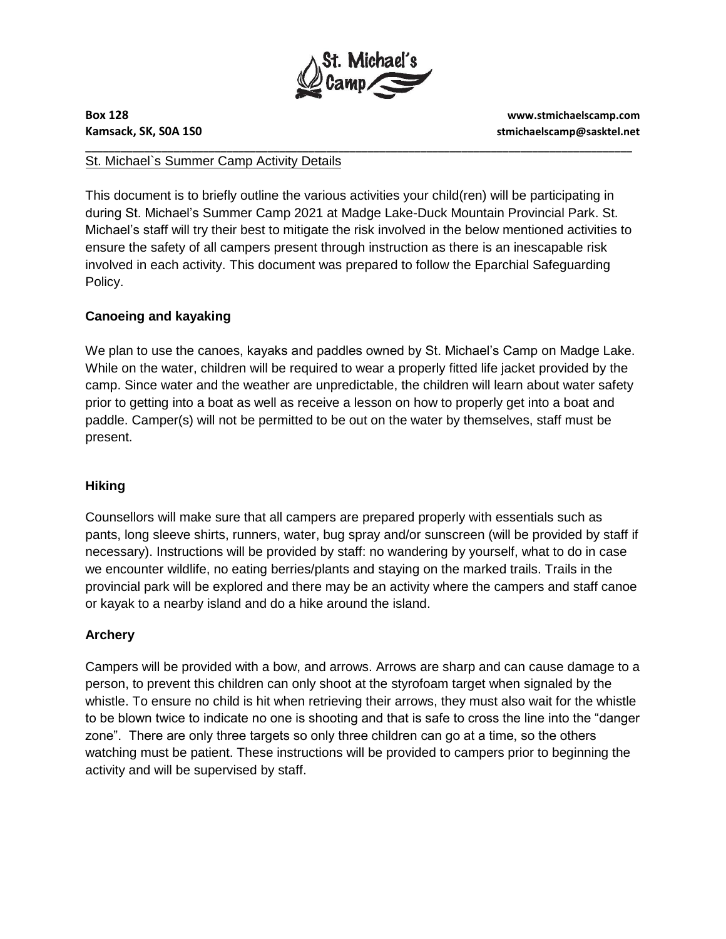

**Box 128 www.stmichaelscamp.com Kamsack, SK, S0A 1S0 stmichaelscamp@sasktel.net** 

### **\_\_\_\_\_\_\_\_\_\_\_\_\_\_\_\_\_\_\_\_\_\_\_\_\_\_\_\_\_\_\_\_\_\_\_\_\_\_\_\_\_\_\_\_\_\_\_\_\_\_\_\_\_\_\_\_\_\_\_\_\_\_\_\_\_\_\_\_\_\_\_\_\_\_\_\_\_\_\_\_\_\_\_\_\_\_\_\_\_\_\_\_\_**  St. Michael`s Summer Camp Activity Details

This document is to briefly outline the various activities your child(ren) will be participating in during St. Michael's Summer Camp 2021 at Madge Lake-Duck Mountain Provincial Park. St. Michael's staff will try their best to mitigate the risk involved in the below mentioned activities to ensure the safety of all campers present through instruction as there is an inescapable risk involved in each activity. This document was prepared to follow the Eparchial Safeguarding Policy.

# **Canoeing and kayaking**

We plan to use the canoes, kayaks and paddles owned by St. Michael's Camp on Madge Lake. While on the water, children will be required to wear a properly fitted life jacket provided by the camp. Since water and the weather are unpredictable, the children will learn about water safety prior to getting into a boat as well as receive a lesson on how to properly get into a boat and paddle. Camper(s) will not be permitted to be out on the water by themselves, staff must be present.

# **Hiking**

Counsellors will make sure that all campers are prepared properly with essentials such as pants, long sleeve shirts, runners, water, bug spray and/or sunscreen (will be provided by staff if necessary). Instructions will be provided by staff: no wandering by yourself, what to do in case we encounter wildlife, no eating berries/plants and staying on the marked trails. Trails in the provincial park will be explored and there may be an activity where the campers and staff canoe or kayak to a nearby island and do a hike around the island.

# **Archery**

Campers will be provided with a bow, and arrows. Arrows are sharp and can cause damage to a person, to prevent this children can only shoot at the styrofoam target when signaled by the whistle. To ensure no child is hit when retrieving their arrows, they must also wait for the whistle to be blown twice to indicate no one is shooting and that is safe to cross the line into the "danger zone". There are only three targets so only three children can go at a time, so the others watching must be patient. These instructions will be provided to campers prior to beginning the activity and will be supervised by staff.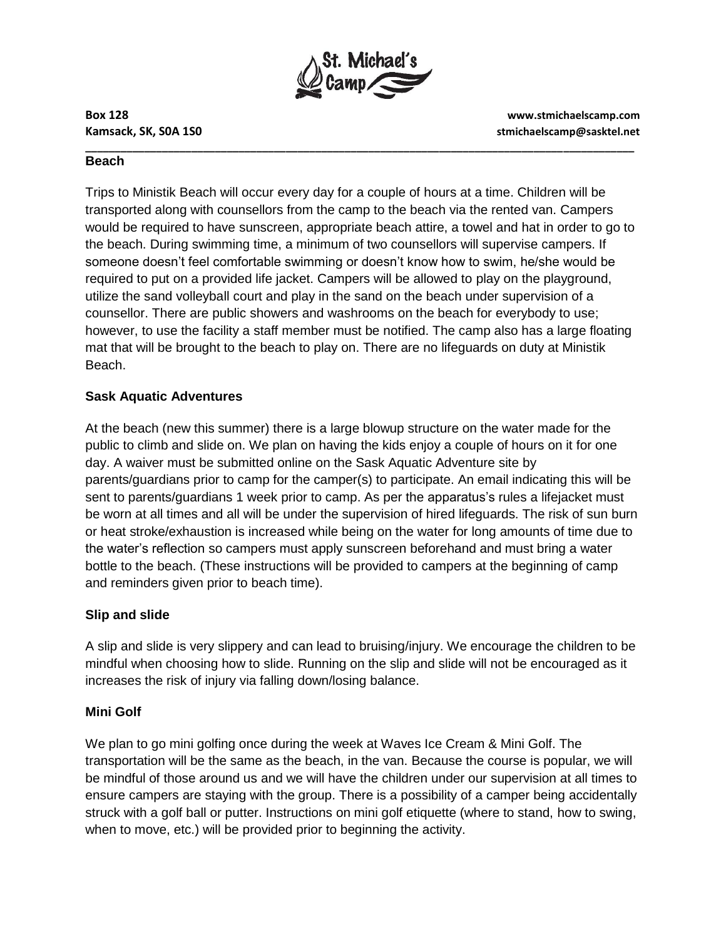

**Box 128 www.stmichaelscamp.com Kamsack, SK, S0A 1S0 stmichaelscamp@sasktel.net** 

#### **\_\_\_\_\_\_\_\_\_\_\_\_\_\_\_\_\_\_\_\_\_\_\_\_\_\_\_\_\_\_\_\_\_\_\_\_\_\_\_\_\_\_\_\_\_\_\_\_\_\_\_\_\_\_\_\_\_\_\_\_\_\_\_\_\_\_\_\_\_\_\_\_\_\_\_\_\_\_\_\_\_\_\_\_\_\_\_\_\_\_\_\_\_ Beach**

Trips to Ministik Beach will occur every day for a couple of hours at a time. Children will be transported along with counsellors from the camp to the beach via the rented van. Campers would be required to have sunscreen, appropriate beach attire, a towel and hat in order to go to the beach. During swimming time, a minimum of two counsellors will supervise campers. If someone doesn't feel comfortable swimming or doesn't know how to swim, he/she would be required to put on a provided life jacket. Campers will be allowed to play on the playground, utilize the sand volleyball court and play in the sand on the beach under supervision of a counsellor. There are public showers and washrooms on the beach for everybody to use; however, to use the facility a staff member must be notified. The camp also has a large floating mat that will be brought to the beach to play on. There are no lifeguards on duty at Ministik Beach.

# **Sask Aquatic Adventures**

At the beach (new this summer) there is a large blowup structure on the water made for the public to climb and slide on. We plan on having the kids enjoy a couple of hours on it for one day. A waiver must be submitted online on the Sask Aquatic Adventure site by parents/guardians prior to camp for the camper(s) to participate. An email indicating this will be sent to parents/guardians 1 week prior to camp. As per the apparatus's rules a lifejacket must be worn at all times and all will be under the supervision of hired lifeguards. The risk of sun burn or heat stroke/exhaustion is increased while being on the water for long amounts of time due to the water's reflection so campers must apply sunscreen beforehand and must bring a water bottle to the beach. (These instructions will be provided to campers at the beginning of camp and reminders given prior to beach time).

# **Slip and slide**

A slip and slide is very slippery and can lead to bruising/injury. We encourage the children to be mindful when choosing how to slide. Running on the slip and slide will not be encouraged as it increases the risk of injury via falling down/losing balance.

# **Mini Golf**

We plan to go mini golfing once during the week at Waves Ice Cream & Mini Golf. The transportation will be the same as the beach, in the van. Because the course is popular, we will be mindful of those around us and we will have the children under our supervision at all times to ensure campers are staying with the group. There is a possibility of a camper being accidentally struck with a golf ball or putter. Instructions on mini golf etiquette (where to stand, how to swing, when to move, etc.) will be provided prior to beginning the activity.